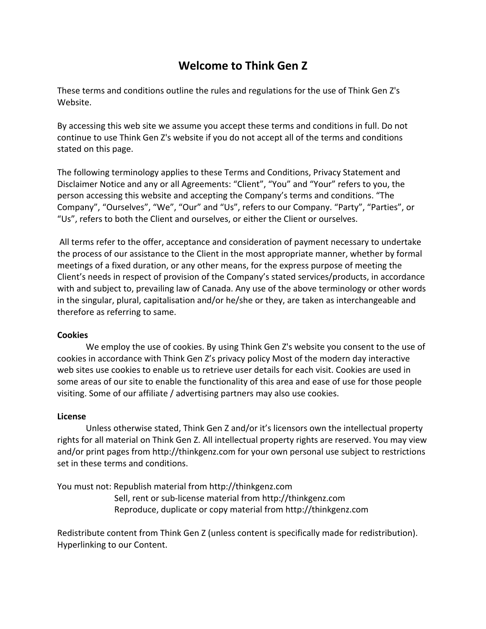# **Welcome to Think Gen Z**

These terms and conditions outline the rules and regulations for the use of Think Gen Z's Website.

By accessing this web site we assume you accept these terms and conditions in full. Do not continue to use Think Gen Z's website if you do not accept all of the terms and conditions stated on this page.

The following terminology applies to these Terms and Conditions, Privacy Statement and Disclaimer Notice and any or all Agreements: "Client", "You" and "Your" refers to you, the person accessing this website and accepting the Company's terms and conditions. "The Company", "Ourselves", "We", "Our" and "Us", refers to our Company. "Party", "Parties", or "Us", refers to both the Client and ourselves, or either the Client or ourselves.

All terms refer to the offer, acceptance and consideration of payment necessary to undertake the process of our assistance to the Client in the most appropriate manner, whether by formal meetings of a fixed duration, or any other means, for the express purpose of meeting the Client's needs in respect of provision of the Company's stated services/products, in accordance with and subject to, prevailing law of Canada. Any use of the above terminology or other words in the singular, plural, capitalisation and/or he/she or they, are taken as interchangeable and therefore as referring to same.

### **Cookies**

We employ the use of cookies. By using Think Gen Z's website you consent to the use of cookies in accordance with Think Gen Z's privacy policy Most of the modern day interactive web sites use cookies to enable us to retrieve user details for each visit. Cookies are used in some areas of our site to enable the functionality of this area and ease of use for those people visiting. Some of our affiliate / advertising partners may also use cookies.

### **License**

Unless otherwise stated, Think Gen Z and/or it's licensors own the intellectual property rights for all material on Think Gen Z. All intellectual property rights are reserved. You may view and/or print pages from http://thinkgenz.com for your own personal use subject to restrictions set in these terms and conditions.

You must not: Republish material from http://thinkgenz.com Sell, rent or sub-license material from http://thinkgenz.com Reproduce, duplicate or copy material from http://thinkgenz.com

Redistribute content from Think Gen Z (unless content is specifically made for redistribution). Hyperlinking to our Content.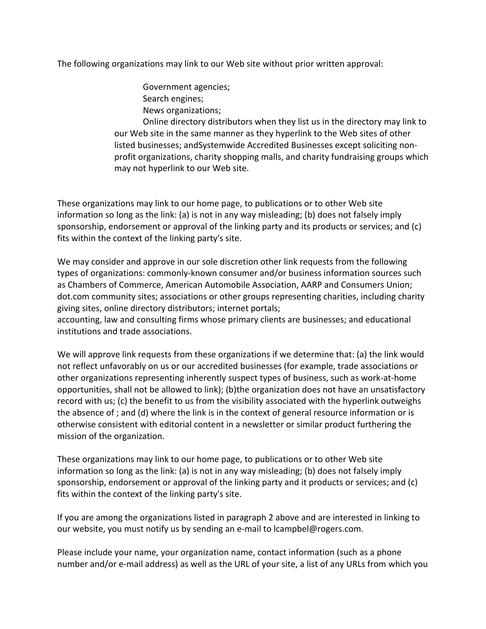The following organizations may link to our Web site without prior written approval:

Government agencies; Search engines; News organizations;

Online directory distributors when they list us in the directory may link to our Web site in the same manner as they hyperlink to the Web sites of other listed businesses; andSystemwide Accredited Businesses except soliciting nonprofit organizations, charity shopping malls, and charity fundraising groups which may not hyperlink to our Web site.

These organizations may link to our home page, to publications or to other Web site information so long as the link: (a) is not in any way misleading; (b) does not falsely imply sponsorship, endorsement or approval of the linking party and its products or services; and (c) fits within the context of the linking party's site.

We may consider and approve in our sole discretion other link requests from the following types of organizations: commonly-known consumer and/or business information sources such as Chambers of Commerce, American Automobile Association, AARP and Consumers Union; dot.com community sites; associations or other groups representing charities, including charity giving sites, online directory distributors; internet portals;

accounting, law and consulting firms whose primary clients are businesses; and educational institutions and trade associations.

We will approve link requests from these organizations if we determine that: (a) the link would not reflect unfavorably on us or our accredited businesses (for example, trade associations or other organizations representing inherently suspect types of business, such as work-at-home opportunities, shall not be allowed to link); (b)the organization does not have an unsatisfactory record with us; (c) the benefit to us from the visibility associated with the hyperlink outweighs the absence of ; and (d) where the link is in the context of general resource information or is otherwise consistent with editorial content in a newsletter or similar product furthering the mission of the organization.

These organizations may link to our home page, to publications or to other Web site information so long as the link: (a) is not in any way misleading; (b) does not falsely imply sponsorship, endorsement or approval of the linking party and it products or services; and (c) fits within the context of the linking party's site.

If you are among the organizations listed in paragraph 2 above and are interested in linking to our website, you must notify us by sending an e-mail to lcampbel@rogers.com.

Please include your name, your organization name, contact information (such as a phone number and/or e-mail address) as well as the URL of your site, a list of any URLs from which you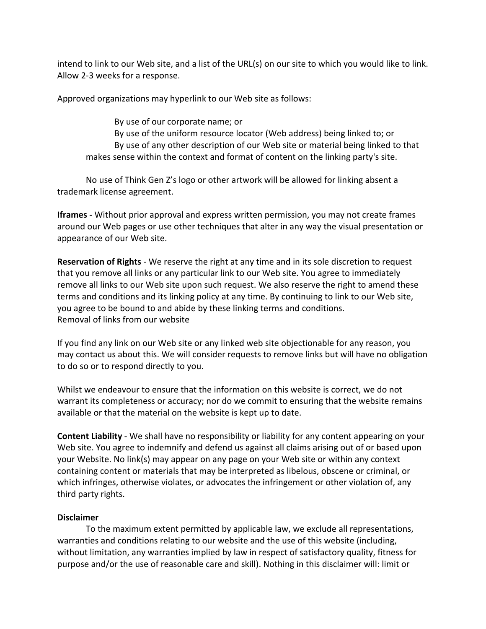intend to link to our Web site, and a list of the URL(s) on our site to which you would like to link. Allow 2-3 weeks for a response.

Approved organizations may hyperlink to our Web site as follows:

By use of our corporate name; or By use of the uniform resource locator (Web address) being linked to; or By use of any other description of our Web site or material being linked to that makes sense within the context and format of content on the linking party's site.

No use of Think Gen Z's logo or other artwork will be allowed for linking absent a trademark license agreement.

**Iframes -** Without prior approval and express written permission, you may not create frames around our Web pages or use other techniques that alter in any way the visual presentation or appearance of our Web site.

**Reservation of Rights** - We reserve the right at any time and in its sole discretion to request that you remove all links or any particular link to our Web site. You agree to immediately remove all links to our Web site upon such request. We also reserve the right to amend these terms and conditions and its linking policy at any time. By continuing to link to our Web site, you agree to be bound to and abide by these linking terms and conditions. Removal of links from our website

If you find any link on our Web site or any linked web site objectionable for any reason, you may contact us about this. We will consider requests to remove links but will have no obligation to do so or to respond directly to you.

Whilst we endeavour to ensure that the information on this website is correct, we do not warrant its completeness or accuracy; nor do we commit to ensuring that the website remains available or that the material on the website is kept up to date.

**Content Liability** - We shall have no responsibility or liability for any content appearing on your Web site. You agree to indemnify and defend us against all claims arising out of or based upon your Website. No link(s) may appear on any page on your Web site or within any context containing content or materials that may be interpreted as libelous, obscene or criminal, or which infringes, otherwise violates, or advocates the infringement or other violation of, any third party rights.

## **Disclaimer**

To the maximum extent permitted by applicable law, we exclude all representations, warranties and conditions relating to our website and the use of this website (including, without limitation, any warranties implied by law in respect of satisfactory quality, fitness for purpose and/or the use of reasonable care and skill). Nothing in this disclaimer will: limit or